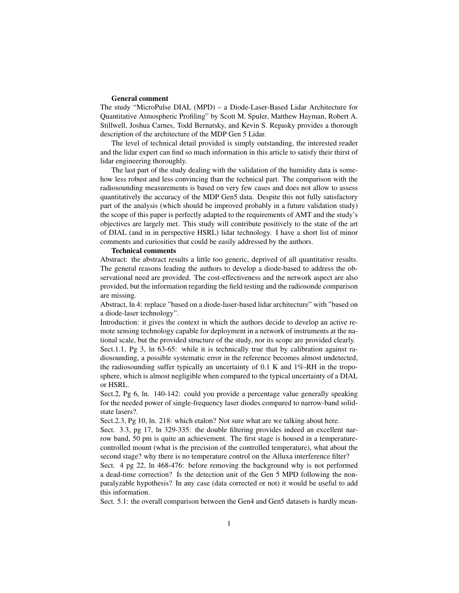## General comment

The study "MicroPulse DIAL (MPD) – a Diode-Laser-Based Lidar Architecture for Quantitative Atmospheric Profiling" by Scott M. Spuler, Matthew Hayman, Robert A. Stillwell, Joshua Carnes, Todd Bernatsky, and Kevin S. Repasky provides a thorough description of the architecture of the MDP Gen 5 Lidar.

The level of technical detail provided is simply outstanding, the interested reader and the lidar expert can find so much information in this article to satisfy their thirst of lidar engineering thoroughly.

The last part of the study dealing with the validation of the humidity data is somehow less robust and less convincing than the technical part. The comparison with the radiosounding measurements is based on very few cases and does not allow to assess quantitatively the accuracy of the MDP Gen5 data. Despite this not fully satisfactory part of the analysis (which should be improved probably in a future validation study) the scope of this paper is perfectly adapted to the requirements of AMT and the study's objectives are largely met. This study will contribute positively to the state of the art of DIAL (and in in perspective HSRL) lidar technology. I have a short list of minor comments and curiosities that could be easily addressed by the authors.

## Technical comments

Abstract: the abstract results a little too generic, deprived of all quantitative results. The general reasons leading the authors to develop a diode-based to address the observational need are provided. The cost-effectiveness and the network aspect are also provided, but the information regarding the field testing and the radiosonde comparison are missing.

Abstract, ln 4: replace "based on a diode-laser-based lidar architecture" with "based on a diode-laser technology".

Introduction: it gives the context in which the authors decide to develop an active remote sensing technology capable for deployment in a network of instruments at the national scale, but the provided structure of the study, nor its scope are provided clearly. Sect.1.1, Pg 3, ln 63-65: while it is technically true that by calibration against radiosounding, a possible systematic error in the reference becomes almost undetected, the radiosounding suffer typically an uncertainty of 0.1 K and 1%-RH in the troposphere, which is almost negligible when compared to the typical uncertainty of a DIAL or HSRL.

Sect.2, Pg 6, ln. 140-142: could you provide a percentage value generally speaking for the needed power of single-frequency laser diodes compared to narrow-band solidstate lasers?.

Sect.2.3, Pg 10, ln. 218: which etalon? Not sure what are we talking about here.

Sect. 3.3, pg 17, ln 329-335: the double filtering provides indeed an excellent narrow band, 50 pm is quite an achievement. The first stage is housed in a temperaturecontrolled mount (what is the precision of the controlled temperature), what about the second stage? why there is no temperature control on the Alluxa interference filter?

Sect. 4 pg 22, ln 468-476: before removing the background why is not performed a dead-time correction? Is the detection unit of the Gen 5 MPD following the nonparalyzable hypothesis? In any case (data corrected or not) it would be useful to add this information.

Sect. 5.1: the overall comparison between the Gen4 and Gen5 datasets is hardly mean-